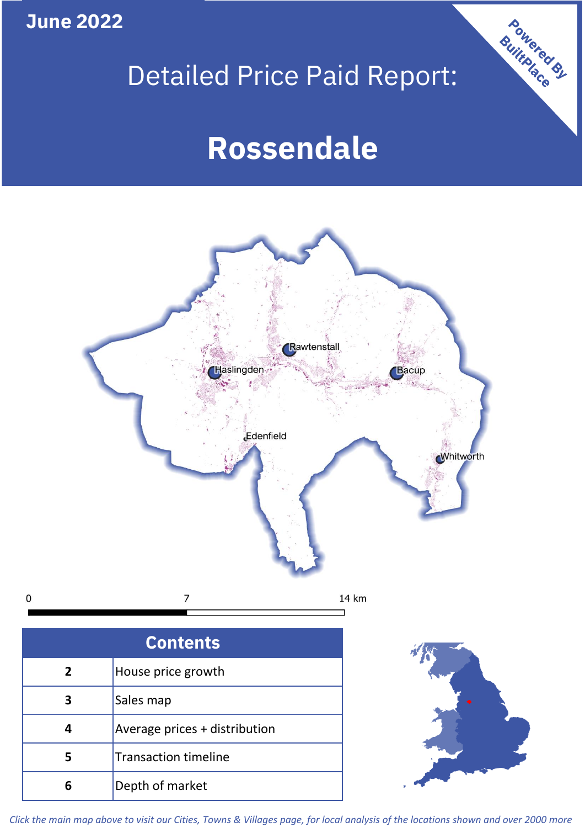**June 2022**

**5**

**4**

**3**

 $\mathbf 0$ 

Sales map

**6** Depth of market

Average prices + distribution

Transaction timeline

# Detailed Price Paid Report:

Powered By

# **Rossendale**



*Click the main map above to visit our Cities, Towns & Villages page, for local analysis of the locations shown and over 2000 more*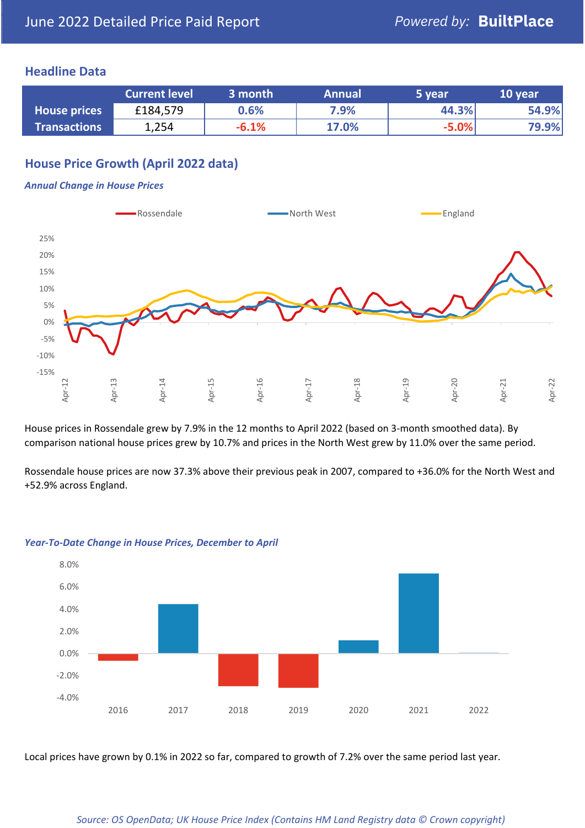## **Headline Data**

|                     | <b>Current level</b> | 3 month | <b>Annual</b> | 5 year  | 10 year |
|---------------------|----------------------|---------|---------------|---------|---------|
| <b>House prices</b> | £184,579             | 0.6%    | 7.9%          | 44.3%   | 54.9%   |
| <b>Transactions</b> | 1,254                | $-6.1%$ | 17.0%         | $-5.0%$ | 79.9%   |

# **House Price Growth (April 2022 data)**

#### *Annual Change in House Prices*



House prices in Rossendale grew by 7.9% in the 12 months to April 2022 (based on 3-month smoothed data). By comparison national house prices grew by 10.7% and prices in the North West grew by 11.0% over the same period.

Rossendale house prices are now 37.3% above their previous peak in 2007, compared to +36.0% for the North West and +52.9% across England.



#### *Year-To-Date Change in House Prices, December to April*

Local prices have grown by 0.1% in 2022 so far, compared to growth of 7.2% over the same period last year.

#### *Source: OS OpenData; UK House Price Index (Contains HM Land Registry data © Crown copyright)*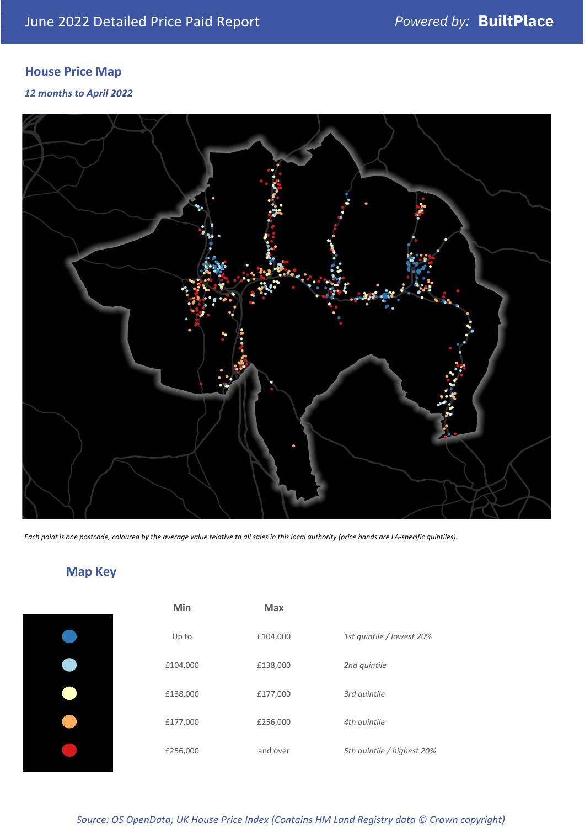# **House Price Map**

## *12 months to April 2022*



*Each point is one postcode, coloured by the average value relative to all sales in this local authority (price bands are LA-specific quintiles).*

# **Map Key**

| Min      | <b>Max</b> |                            |
|----------|------------|----------------------------|
| Up to    | £104,000   | 1st quintile / lowest 20%  |
| £104,000 | £138,000   | 2nd quintile               |
| £138,000 | £177,000   | 3rd quintile               |
| £177,000 | £256,000   | 4th quintile               |
| £256,000 | and over   | 5th quintile / highest 20% |
|          |            |                            |

## *Source: OS OpenData; UK House Price Index (Contains HM Land Registry data © Crown copyright)*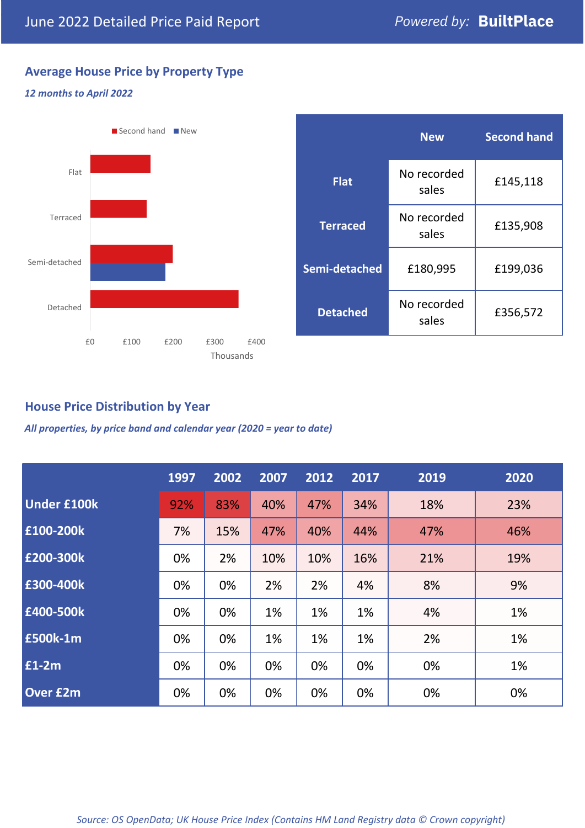# **Average House Price by Property Type**

## *12 months to April 2022*



|                 | <b>New</b>           | <b>Second hand</b> |  |
|-----------------|----------------------|--------------------|--|
| <b>Flat</b>     | No recorded<br>sales | £145,118           |  |
| <b>Terraced</b> | No recorded<br>sales | £135,908           |  |
| Semi-detached   | £180,995             | £199,036           |  |
| <b>Detached</b> | No recorded<br>sales | £356,572           |  |

## **House Price Distribution by Year**

*All properties, by price band and calendar year (2020 = year to date)*

|                    | 1997 | 2002 | 2007 | 2012 | 2017 | 2019 | 2020 |
|--------------------|------|------|------|------|------|------|------|
| <b>Under £100k</b> | 92%  | 83%  | 40%  | 47%  | 34%  | 18%  | 23%  |
| £100-200k          | 7%   | 15%  | 47%  | 40%  | 44%  | 47%  | 46%  |
| E200-300k          | 0%   | 2%   | 10%  | 10%  | 16%  | 21%  | 19%  |
| £300-400k          | 0%   | 0%   | 2%   | 2%   | 4%   | 8%   | 9%   |
| £400-500k          | 0%   | 0%   | 1%   | 1%   | 1%   | 4%   | 1%   |
| <b>£500k-1m</b>    | 0%   | 0%   | 1%   | 1%   | 1%   | 2%   | 1%   |
| £1-2m              | 0%   | 0%   | 0%   | 0%   | 0%   | 0%   | 1%   |
| <b>Over £2m</b>    | 0%   | 0%   | 0%   | 0%   | 0%   | 0%   | 0%   |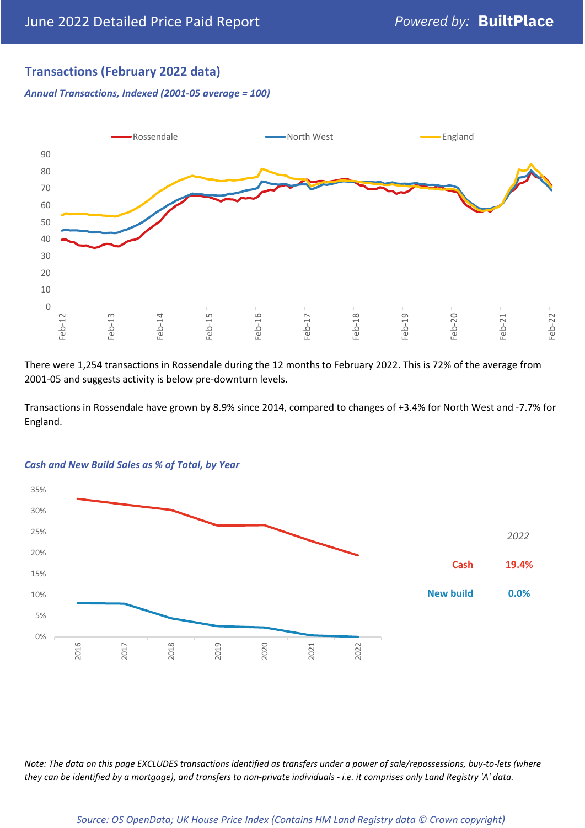# **Transactions (February 2022 data)**

*Annual Transactions, Indexed (2001-05 average = 100)*



There were 1,254 transactions in Rossendale during the 12 months to February 2022. This is 72% of the average from 2001-05 and suggests activity is below pre-downturn levels.

Transactions in Rossendale have grown by 8.9% since 2014, compared to changes of +3.4% for North West and -7.7% for England.



#### *Cash and New Build Sales as % of Total, by Year*

*Note: The data on this page EXCLUDES transactions identified as transfers under a power of sale/repossessions, buy-to-lets (where they can be identified by a mortgage), and transfers to non-private individuals - i.e. it comprises only Land Registry 'A' data.*